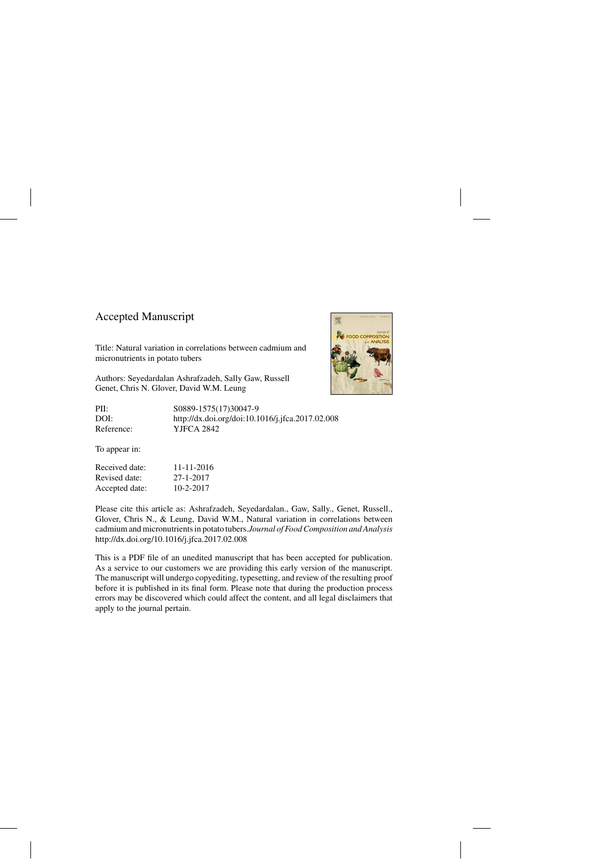## Accepted Manuscript

Title: Natural variation in correlations between cadmium and micronutrients in potato tubers

Authors: Seyedardalan Ashrafzadeh, Sally Gaw, Russell Genet, Chris N. Glover, David W.M. Leung

PII: S0889-1575(17)30047-9 DOI:<http://dx.doi.org/doi:10.1016/j.jfca.2017.02.008> Reference: YJFCA 2842

To appear in:

| Received date: | 11-11-2016      |
|----------------|-----------------|
| Revised date:  | 27-1-2017       |
| Accepted date: | $10 - 2 - 2017$ |

Please cite this article as: Ashrafzadeh, Seyedardalan., Gaw, Sally., Genet, Russell., Glover, Chris N., & Leung, David W.M., Natural variation in correlations between cadmium and micronutrients in potato tubers.*Journal of Food Composition and Analysis* <http://dx.doi.org/10.1016/j.jfca.2017.02.008>

This is a PDF file of an unedited manuscript that has been accepted for publication. As a service to our customers we are providing this early version of the manuscript. The manuscript will undergo copyediting, typesetting, and review of the resulting proof before it is published in its final form. Please note that during the production process errors may be discovered which could affect the content, and all legal disclaimers that apply to the journal pertain.

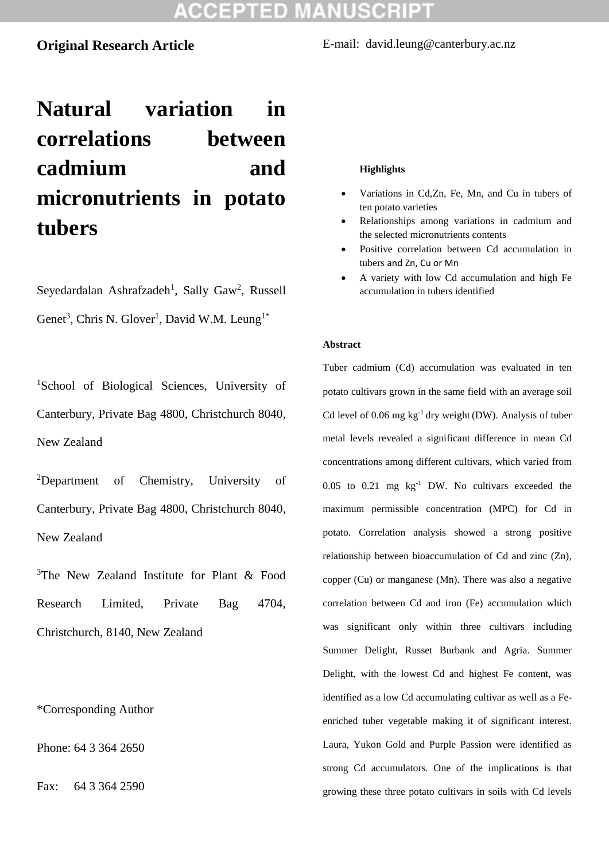### **Original Research Article**

E-mail: david.leung@canterbury.ac.nz

# **Natural variation in correlations between cadmium and micronutrients in potato tubers**

Seyedardalan Ashrafzadeh<sup>1</sup>, Sally Gaw<sup>2</sup>, Russell Genet<sup>3</sup>, Chris N. Glover<sup>1</sup>, David W.M. Leung<sup>1\*</sup>

<sup>1</sup>School of Biological Sciences, University of Canterbury, Private Bag 4800, Christchurch 8040, New Zealand

<sup>2</sup>Department of Chemistry, University of Canterbury, Private Bag 4800, Christchurch 8040, New Zealand

<sup>3</sup>The New Zealand Institute for Plant  $\&$  Food Research Limited, Private Bag 4704, Christchurch, 8140, New Zealand

\*Corresponding Author

Phone: 64 3 364 2650

Fax: 64 3 364 2590

#### **Highlights**

- Variations in Cd,Zn, Fe, Mn, and Cu in tubers of ten potato varieties
- Relationships among variations in cadmium and the selected micronutrients contents
- Positive correlation between Cd accumulation in tubers and Zn, Cu or Mn
- A variety with low Cd accumulation and high Fe accumulation in tubers identified

#### **Abstract**

Tuber cadmium (Cd) accumulation was evaluated in ten potato cultivars grown in the same field with an average soil Cd level of 0.06 mg kg-1 dry weight (DW). Analysis of tuber metal levels revealed a significant difference in mean Cd concentrations among different cultivars, which varied from  $0.05$  to  $0.21$  mg  $kg^{-1}$  DW. No cultivars exceeded the maximum permissible concentration (MPC) for Cd in potato. Correlation analysis showed a strong positive relationship between bioaccumulation of Cd and zinc (Zn), copper (Cu) or manganese (Mn). There was also a negative correlation between Cd and iron (Fe) accumulation which was significant only within three cultivars including Summer Delight, Russet Burbank and Agria. Summer Delight, with the lowest Cd and highest Fe content, was identified as a low Cd accumulating cultivar as well as a Feenriched tuber vegetable making it of significant interest. Laura, Yukon Gold and Purple Passion were identified as strong Cd accumulators. One of the implications is that growing these three potato cultivars in soils with Cd levels